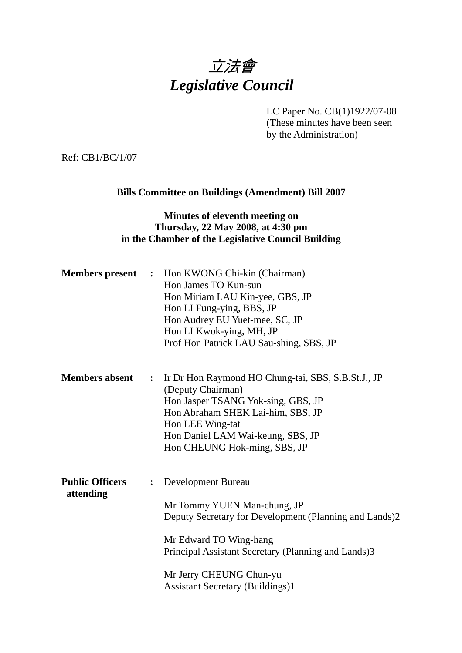# 立法會 *Legislative Council*

LC Paper No. CB(1)1922/07-08

(These minutes have been seen by the Administration)

Ref: CB1/BC/1/07

## **Bills Committee on Buildings (Amendment) Bill 2007**

#### **Minutes of eleventh meeting on Thursday, 22 May 2008, at 4:30 pm in the Chamber of the Legislative Council Building**

|                                     |                | <b>Members present</b> : Hon KWONG Chi-kin (Chairman)<br>Hon James TO Kun-sun<br>Hon Miriam LAU Kin-yee, GBS, JP<br>Hon LI Fung-ying, BBS, JP<br>Hon Audrey EU Yuet-mee, SC, JP<br>Hon LI Kwok-ying, MH, JP<br>Prof Hon Patrick LAU Sau-shing, SBS, JP             |
|-------------------------------------|----------------|--------------------------------------------------------------------------------------------------------------------------------------------------------------------------------------------------------------------------------------------------------------------|
| <b>Members absent</b>               | $\ddot{\cdot}$ | Ir Dr Hon Raymond HO Chung-tai, SBS, S.B.St.J., JP<br>(Deputy Chairman)<br>Hon Jasper TSANG Yok-sing, GBS, JP<br>Hon Abraham SHEK Lai-him, SBS, JP<br>Hon LEE Wing-tat<br>Hon Daniel LAM Wai-keung, SBS, JP<br>Hon CHEUNG Hok-ming, SBS, JP                        |
| <b>Public Officers</b><br>attending | $\ddot{\cdot}$ | Development Bureau<br>Mr Tommy YUEN Man-chung, JP<br>Deputy Secretary for Development (Planning and Lands)2<br>Mr Edward TO Wing-hang<br>Principal Assistant Secretary (Planning and Lands)3<br>Mr Jerry CHEUNG Chun-yu<br><b>Assistant Secretary (Buildings)1</b> |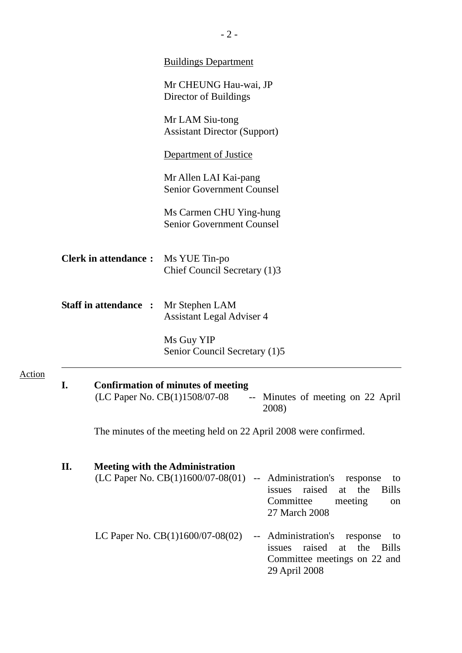|        |    |                              | <b>Buildings Department</b>                                                                                                                                                                                    |
|--------|----|------------------------------|----------------------------------------------------------------------------------------------------------------------------------------------------------------------------------------------------------------|
|        |    |                              | Mr CHEUNG Hau-wai, JP<br>Director of Buildings                                                                                                                                                                 |
|        |    |                              | Mr LAM Siu-tong<br><b>Assistant Director (Support)</b>                                                                                                                                                         |
|        |    |                              | <b>Department of Justice</b>                                                                                                                                                                                   |
|        |    |                              | Mr Allen LAI Kai-pang<br><b>Senior Government Counsel</b>                                                                                                                                                      |
|        |    |                              | Ms Carmen CHU Ying-hung<br><b>Senior Government Counsel</b>                                                                                                                                                    |
|        |    | <b>Clerk in attendance:</b>  | Ms YUE Tin-po<br>Chief Council Secretary (1)3                                                                                                                                                                  |
|        |    | <b>Staff in attendance :</b> | Mr Stephen LAM<br><b>Assistant Legal Adviser 4</b>                                                                                                                                                             |
|        |    |                              | Ms Guy YIP<br>Senior Council Secretary (1)5                                                                                                                                                                    |
| Action |    |                              | <b>Confirmation of minutes of meeting</b><br>(LC Paper No. CB(1)1508/07-08<br>-- Minutes of meeting on 22 April<br>2008)                                                                                       |
|        |    |                              | The minutes of the meeting held on 22 April 2008 were confirmed.                                                                                                                                               |
|        | П. |                              | <b>Meeting with the Administration</b><br>(LC Paper No. CB(1)1600/07-08(01)<br>-- Administration's response<br>to<br>issues raised<br><b>Bills</b><br>the<br>at<br>Committee<br>meeting<br>on<br>27 March 2008 |
|        |    |                              | LC Paper No. $CB(1)1600/07-08(02)$<br>-- Administration's response<br>to<br>raised<br>the<br><b>Bills</b><br>issues<br>at<br>Committee meetings on 22 and<br>29 April 2008                                     |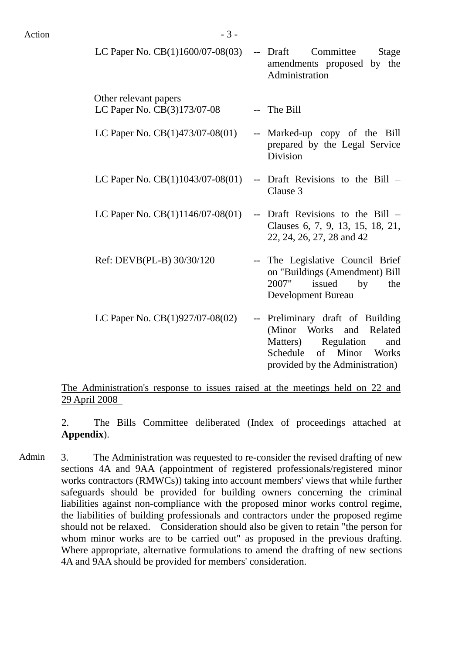$LC$  Paper No.  $CR(1)1600/07.08(03)$  Draft Committee Stage

| LC 1 april 110. CD(1/1000/07-00(02)                  | $D_1$ $U_2$ $U_3$ $U_4$ $U_5$ $U_6$ $U_7$ $U_8$ $U_9$ $U_9$ $U_9$ $U_9$ $U_9$ $U_9$ $U_9$ $U_9$ $U_9$ $U_9$ $U_9$ $U_9$ $U_9$ $U_9$ $U_9$ $U_9$ $U_9$ $U_9$ $U_9$ $U_9$ $U_9$ $U_9$ $U_9$ $U_9$ $U_9$ $U_9$ $U_9$ $U_9$ $U_9$<br>amendments proposed by the<br>Administration |
|------------------------------------------------------|-------------------------------------------------------------------------------------------------------------------------------------------------------------------------------------------------------------------------------------------------------------------------------|
| Other relevant papers<br>LC Paper No. CB(3)173/07-08 | -- The Bill                                                                                                                                                                                                                                                                   |
| LC Paper No. $CB(1)473/07-08(01)$                    | -- Marked-up copy of the Bill<br>prepared by the Legal Service<br>Division                                                                                                                                                                                                    |
| LC Paper No. $CB(1)1043/07-08(01)$                   | -- Draft Revisions to the Bill –<br>Clause 3                                                                                                                                                                                                                                  |
| LC Paper No. $CB(1)1146/07-08(01)$                   | -- Draft Revisions to the Bill –<br>Clauses 6, 7, 9, 13, 15, 18, 21,<br>22, 24, 26, 27, 28 and 42                                                                                                                                                                             |
| Ref: DEVB(PL-B) 30/30/120                            | -- The Legislative Council Brief<br>on "Buildings (Amendment) Bill<br>issued<br>2007"<br>by<br>the<br>Development Bureau                                                                                                                                                      |
| LC Paper No. $CB(1)927/07-08(02)$                    | -- Preliminary draft of Building<br>(Minor Works and Related<br>Matters) Regulation<br>and<br>Schedule of Minor Works<br>provided by the Administration)                                                                                                                      |

The Administration's response to issues raised at the meetings held on 22 and 29 April 2008

2. The Bills Committee deliberated (Index of proceedings attached at **Appendix**).

Admin 3. The Administration was requested to re-consider the revised drafting of new sections 4A and 9AA (appointment of registered professionals/registered minor works contractors (RMWCs)) taking into account members' views that while further safeguards should be provided for building owners concerning the criminal liabilities against non-compliance with the proposed minor works control regime, the liabilities of building professionals and contractors under the proposed regime should not be relaxed. Consideration should also be given to retain "the person for whom minor works are to be carried out" as proposed in the previous drafting. Where appropriate, alternative formulations to amend the drafting of new sections 4A and 9AA should be provided for members' consideration.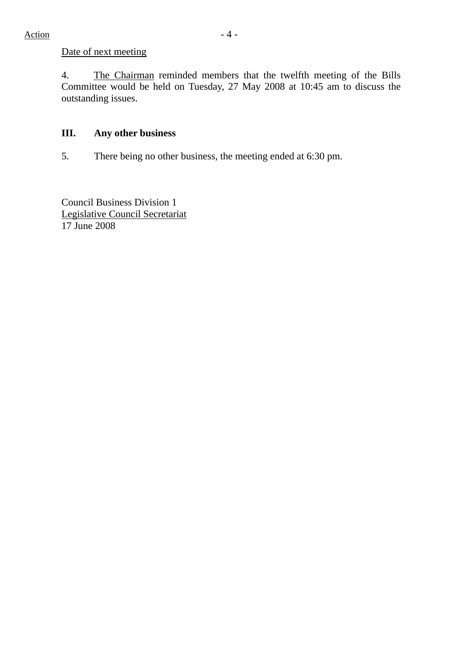## Date of next meeting

4. The Chairman reminded members that the twelfth meeting of the Bills Committee would be held on Tuesday, 27 May 2008 at 10:45 am to discuss the outstanding issues.

## **III. Any other business**

5. There being no other business, the meeting ended at 6:30 pm.

Council Business Division 1 Legislative Council Secretariat 17 June 2008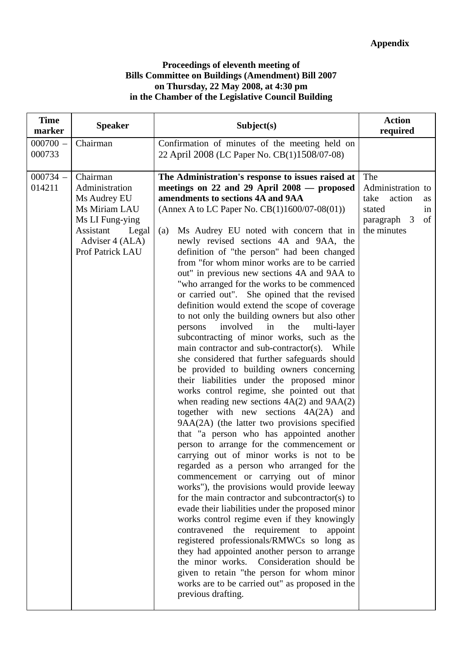#### **Proceedings of eleventh meeting of Bills Committee on Buildings (Amendment) Bill 2007 on Thursday, 22 May 2008, at 4:30 pm in the Chamber of the Legislative Council Building**

| <b>Time</b><br>marker | <b>Speaker</b>                                                                                                                              | Subject(s)                                                                                                                                                                                                                                                                                                                                                                                                                                                                                                                                                                                                                                                                                                                                                                                                                                                                                                                                                                                                                                                                                                                                                                                                                                                                                                                                                                                                                                                                                                                                                                                                                                                                                                                                                                                                                                                                  | <b>Action</b><br>required                                                                            |
|-----------------------|---------------------------------------------------------------------------------------------------------------------------------------------|-----------------------------------------------------------------------------------------------------------------------------------------------------------------------------------------------------------------------------------------------------------------------------------------------------------------------------------------------------------------------------------------------------------------------------------------------------------------------------------------------------------------------------------------------------------------------------------------------------------------------------------------------------------------------------------------------------------------------------------------------------------------------------------------------------------------------------------------------------------------------------------------------------------------------------------------------------------------------------------------------------------------------------------------------------------------------------------------------------------------------------------------------------------------------------------------------------------------------------------------------------------------------------------------------------------------------------------------------------------------------------------------------------------------------------------------------------------------------------------------------------------------------------------------------------------------------------------------------------------------------------------------------------------------------------------------------------------------------------------------------------------------------------------------------------------------------------------------------------------------------------|------------------------------------------------------------------------------------------------------|
| $000700 -$<br>000733  | Chairman                                                                                                                                    | Confirmation of minutes of the meeting held on<br>22 April 2008 (LC Paper No. CB(1)1508/07-08)                                                                                                                                                                                                                                                                                                                                                                                                                                                                                                                                                                                                                                                                                                                                                                                                                                                                                                                                                                                                                                                                                                                                                                                                                                                                                                                                                                                                                                                                                                                                                                                                                                                                                                                                                                              |                                                                                                      |
| $000734 -$<br>014211  | Chairman<br>Administration<br>Ms Audrey EU<br>Ms Miriam LAU<br>Ms LI Fung-ying<br>Assistant<br>Legal<br>Adviser 4 (ALA)<br>Prof Patrick LAU | The Administration's response to issues raised at<br>meetings on 22 and 29 April 2008 - proposed<br>amendments to sections 4A and 9AA<br>(Annex A to LC Paper No. $CB(1)1600/07-08(01)$ )<br>Ms Audrey EU noted with concern that in<br>(a)<br>newly revised sections 4A and 9AA, the<br>definition of "the person" had been changed<br>from "for whom minor works are to be carried<br>out" in previous new sections 4A and 9AA to<br>"who arranged for the works to be commenced<br>or carried out". She opined that the revised<br>definition would extend the scope of coverage<br>to not only the building owners but also other<br>involved<br>persons<br>in<br>the<br>multi-layer<br>subcontracting of minor works, such as the<br>main contractor and sub-contractor(s). While<br>she considered that further safeguards should<br>be provided to building owners concerning<br>their liabilities under the proposed minor<br>works control regime, she pointed out that<br>when reading new sections $4A(2)$ and $9AA(2)$<br>together with new sections $4A(2A)$ and<br>9AA(2A) (the latter two provisions specified<br>that "a person who has appointed another<br>person to arrange for the commencement or<br>carrying out of minor works is not to be<br>regarded as a person who arranged for the<br>commencement or carrying out of minor<br>works"), the provisions would provide leeway<br>for the main contractor and subcontractor(s) to<br>evade their liabilities under the proposed minor<br>works control regime even if they knowingly<br>contravened the requirement to<br>appoint<br>registered professionals/RMWCs so long as<br>they had appointed another person to arrange<br>the minor works. Consideration should be<br>given to retain "the person for whom minor<br>works are to be carried out" as proposed in the<br>previous drafting. | The<br>Administration to<br>take<br>action<br>as<br>stated<br>in<br>paragraph 3<br>of<br>the minutes |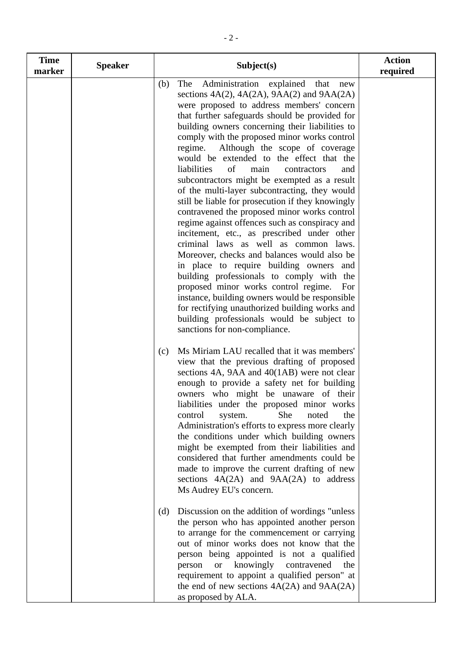| <b>Time</b><br>marker | <b>Speaker</b> | Subject(s)                                                                                                                                                                                                                                                                                                                                                                                                                                                                                                                                                                                                                                                                                                                                                                                                                                                                                                                                                                                                                                                                                                                                                                        | <b>Action</b><br>required |
|-----------------------|----------------|-----------------------------------------------------------------------------------------------------------------------------------------------------------------------------------------------------------------------------------------------------------------------------------------------------------------------------------------------------------------------------------------------------------------------------------------------------------------------------------------------------------------------------------------------------------------------------------------------------------------------------------------------------------------------------------------------------------------------------------------------------------------------------------------------------------------------------------------------------------------------------------------------------------------------------------------------------------------------------------------------------------------------------------------------------------------------------------------------------------------------------------------------------------------------------------|---------------------------|
|                       |                | Administration explained that<br>The<br>(b)<br>new<br>sections $4A(2)$ , $4A(2A)$ , $9AA(2)$ and $9AA(2A)$<br>were proposed to address members' concern<br>that further safeguards should be provided for<br>building owners concerning their liabilities to<br>comply with the proposed minor works control<br>Although the scope of coverage<br>regime.<br>would be extended to the effect that the<br>liabilities<br>of<br>main<br>contractors<br>and<br>subcontractors might be exempted as a result<br>of the multi-layer subcontracting, they would<br>still be liable for prosecution if they knowingly<br>contravened the proposed minor works control<br>regime against offences such as conspiracy and<br>incitement, etc., as prescribed under other<br>criminal laws as well as common laws.<br>Moreover, checks and balances would also be<br>in place to require building owners and<br>building professionals to comply with the<br>proposed minor works control regime.<br>For<br>instance, building owners would be responsible<br>for rectifying unauthorized building works and<br>building professionals would be subject to<br>sanctions for non-compliance. |                           |
|                       |                | Ms Miriam LAU recalled that it was members'<br>(c)<br>view that the previous drafting of proposed<br>sections 4A, 9AA and 40(1AB) were not clear<br>enough to provide a safety net for building<br>owners who might be unaware of their<br>liabilities under the proposed minor works<br>She<br>the<br>control<br>noted<br>system.<br>Administration's efforts to express more clearly<br>the conditions under which building owners<br>might be exempted from their liabilities and<br>considered that further amendments could be<br>made to improve the current drafting of new<br>sections $4A(2A)$ and $9AA(2A)$ to address<br>Ms Audrey EU's concern.                                                                                                                                                                                                                                                                                                                                                                                                                                                                                                                       |                           |
|                       |                | Discussion on the addition of wordings "unless"<br>(d)<br>the person who has appointed another person<br>to arrange for the commencement or carrying<br>out of minor works does not know that the<br>person being appointed is not a qualified<br><b>or</b><br>knowingly<br>contravened<br>person<br>the<br>requirement to appoint a qualified person" at<br>the end of new sections 4A(2A) and 9AA(2A)<br>as proposed by ALA.                                                                                                                                                                                                                                                                                                                                                                                                                                                                                                                                                                                                                                                                                                                                                    |                           |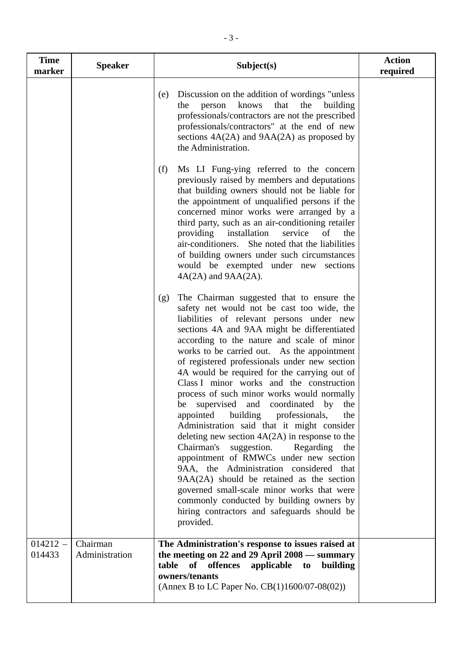| <b>Time</b><br>marker | <b>Speaker</b>             | Subject(s)                                                                                                                                                                                                                                                                                                                                                                                                                                                                                                                                                                                                                                                                                                                                                                                                                                                                                                                                                                                                              | <b>Action</b><br>required |
|-----------------------|----------------------------|-------------------------------------------------------------------------------------------------------------------------------------------------------------------------------------------------------------------------------------------------------------------------------------------------------------------------------------------------------------------------------------------------------------------------------------------------------------------------------------------------------------------------------------------------------------------------------------------------------------------------------------------------------------------------------------------------------------------------------------------------------------------------------------------------------------------------------------------------------------------------------------------------------------------------------------------------------------------------------------------------------------------------|---------------------------|
|                       |                            | Discussion on the addition of wordings "unless"<br>(e)<br>that<br>person<br>knows<br>the<br>building<br>the<br>professionals/contractors are not the prescribed<br>professionals/contractors" at the end of new<br>sections $4A(2A)$ and $9AA(2A)$ as proposed by<br>the Administration.                                                                                                                                                                                                                                                                                                                                                                                                                                                                                                                                                                                                                                                                                                                                |                           |
|                       |                            | Ms LI Fung-ying referred to the concern<br>(f)<br>previously raised by members and deputations<br>that building owners should not be liable for<br>the appointment of unqualified persons if the<br>concerned minor works were arranged by a<br>third party, such as an air-conditioning retailer<br>providing installation<br>service<br>of<br>the<br>air-conditioners. She noted that the liabilities<br>of building owners under such circumstances<br>would be exempted under new sections<br>$4A(2A)$ and $9AA(2A)$ .                                                                                                                                                                                                                                                                                                                                                                                                                                                                                              |                           |
|                       |                            | The Chairman suggested that to ensure the<br>(g)<br>safety net would not be cast too wide, the<br>liabilities of relevant persons under new<br>sections 4A and 9AA might be differentiated<br>according to the nature and scale of minor<br>works to be carried out. As the appointment<br>of registered professionals under new section<br>4A would be required for the carrying out of<br>Class I minor works and the construction<br>process of such minor works would normally<br>supervised and coordinated by<br>the<br>be<br>building professionals,<br>appointed<br>the<br>Administration said that it might consider<br>deleting new section $4A(2A)$ in response to the<br>Chairman's<br>suggestion.<br>Regarding the<br>appointment of RMWCs under new section<br>9AA, the Administration considered that<br>9AA(2A) should be retained as the section<br>governed small-scale minor works that were<br>commonly conducted by building owners by<br>hiring contractors and safeguards should be<br>provided. |                           |
| $014212 -$<br>014433  | Chairman<br>Administration | The Administration's response to issues raised at<br>the meeting on 22 and 29 April 2008 — summary<br>of offences<br>applicable to building<br>table<br>owners/tenants<br>(Annex B to LC Paper No. CB(1)1600/07-08(02))                                                                                                                                                                                                                                                                                                                                                                                                                                                                                                                                                                                                                                                                                                                                                                                                 |                           |